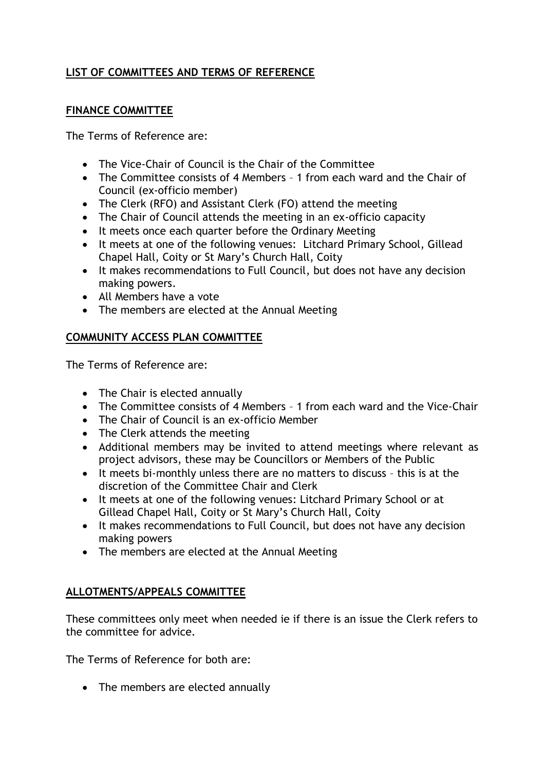# **LIST OF COMMITTEES AND TERMS OF REFERENCE**

### **FINANCE COMMITTEE**

The Terms of Reference are:

- The Vice-Chair of Council is the Chair of the Committee
- The Committee consists of 4 Members 1 from each ward and the Chair of Council (ex-officio member)
- The Clerk (RFO) and Assistant Clerk (FO) attend the meeting
- The Chair of Council attends the meeting in an ex-officio capacity
- It meets once each quarter before the Ordinary Meeting
- It meets at one of the following venues: Litchard Primary School, Gillead Chapel Hall, Coity or St Mary's Church Hall, Coity
- It makes recommendations to Full Council, but does not have any decision making powers.
- All Members have a vote
- The members are elected at the Annual Meeting

## **COMMUNITY ACCESS PLAN COMMITTEE**

The Terms of Reference are:

- The Chair is elected annually
- The Committee consists of 4 Members 1 from each ward and the Vice-Chair
- The Chair of Council is an ex-officio Member
- The Clerk attends the meeting
- Additional members may be invited to attend meetings where relevant as project advisors, these may be Councillors or Members of the Public
- It meets bi-monthly unless there are no matters to discuss this is at the discretion of the Committee Chair and Clerk
- It meets at one of the following venues: Litchard Primary School or at Gillead Chapel Hall, Coity or St Mary's Church Hall, Coity
- It makes recommendations to Full Council, but does not have any decision making powers
- The members are elected at the Annual Meeting

# **ALLOTMENTS/APPEALS COMMITTEE**

These committees only meet when needed ie if there is an issue the Clerk refers to the committee for advice.

The Terms of Reference for both are:

• The members are elected annually